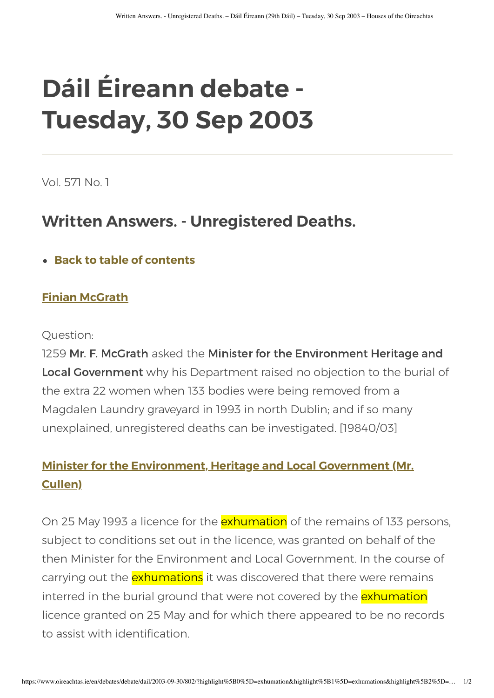# **Dáil Éireann debate - Tuesday, 30 Sep 2003**

Vol. 571 No. 1

## **Written Answers. - Unregistered Deaths.**

**[Back to table of contents](https://www.oireachtas.ie/en/debates/debate/dail/2003-09-30/)**

#### **[Finian McGrath](https://www.oireachtas.ie/en/members/member/Finian-McGrath.D.2002-06-06/)**

#### Question:

1259 Mr. F. McGrath asked the Minister for the Environment Heritage and Local Government why his Department raised no objection to the burial of the extra 22 women when 133 bodies were being removed from a Magdalen Laundry graveyard in 1993 in north Dublin; and if so many unexplained, unregistered deaths can be investigated. [19840/03]

### **[Minister for the Environment, Heritage and Local Government \(Mr.](https://www.oireachtas.ie/en/members/member/Martin-Cullen.D.1987-03-10/) Cullen)**

On 25 May 1993 a licence for the **exhumation** of the remains of 133 persons, subject to conditions set out in the licence, was granted on behalf of the then Minister for the Environment and Local Government. In the course of carrying out the **exhumations** it was discovered that there were remains interred in the burial ground that were not covered by the exhumation licence granted on 25 May and for which there appeared to be no records to assist with identification.